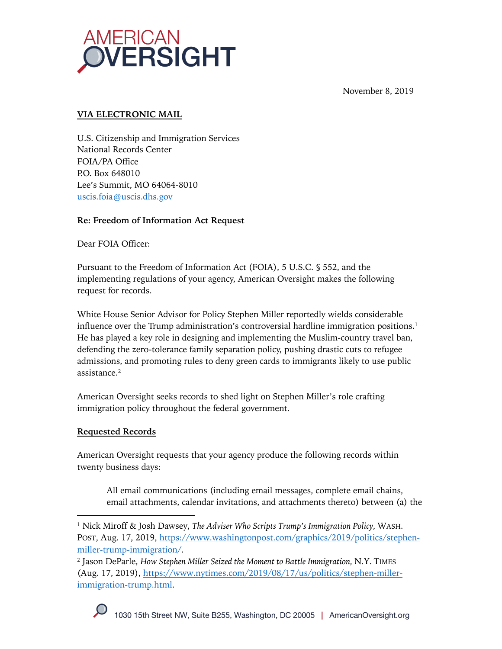

November 8, 2019

# **VIA ELECTRONIC MAIL**

U.S. Citizenship and Immigration Services National Records Center FOIA/PA Office P.O. Box 648010 Lee's Summit, MO 64064-8010 uscis.foia@uscis.dhs.gov

## **Re: Freedom of Information Act Request**

Dear FOIA Officer:

Pursuant to the Freedom of Information Act (FOIA), 5 U.S.C. § 552, and the implementing regulations of your agency, American Oversight makes the following request for records.

White House Senior Advisor for Policy Stephen Miller reportedly wields considerable influence over the Trump administration's controversial hardline immigration positions.<sup>1</sup> He has played a key role in designing and implementing the Muslim-country travel ban, defending the zero-tolerance family separation policy, pushing drastic cuts to refugee admissions, and promoting rules to deny green cards to immigrants likely to use public assistance.2

American Oversight seeks records to shed light on Stephen Miller's role crafting immigration policy throughout the federal government.

## **Requested Records**

American Oversight requests that your agency produce the following records within twenty business days:

All email communications (including email messages, complete email chains, email attachments, calendar invitations, and attachments thereto) between (a) the

<sup>2</sup> Jason DeParle, *How Stephen Miller Seized the Moment to Battle Immigration,* N.Y. TIMES (Aug. 17, 2019), https://www.nytimes.com/2019/08/17/us/politics/stephen-millerimmigration-trump.html.



<sup>1</sup> Nick Miroff & Josh Dawsey, *The Adviser Who Scripts Trump's Immigration Policy,* WASH. POST, Aug. 17, 2019, https://www.washingtonpost.com/graphics/2019/politics/stephenmiller-trump-immigration/.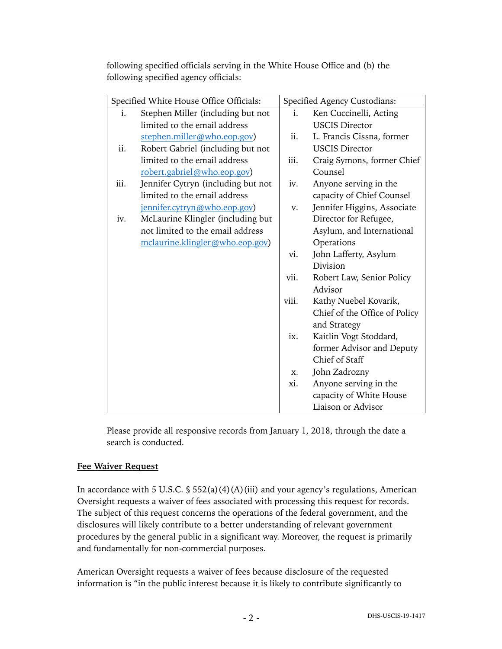following specified officials serving in the White House Office and (b) the following specified agency officials:

| Specified White House Office Officials: |                                    | Specified Agency Custodians: |                               |
|-----------------------------------------|------------------------------------|------------------------------|-------------------------------|
| i.                                      | Stephen Miller (including but not  | i.                           | Ken Cuccinelli, Acting        |
|                                         | limited to the email address       |                              | <b>USCIS Director</b>         |
|                                         | stephen.miller@who.eop.gov)        | ii.                          | L. Francis Cissna, former     |
| ii.                                     | Robert Gabriel (including but not  |                              | <b>USCIS Director</b>         |
|                                         | limited to the email address       | iii.                         | Craig Symons, former Chief    |
|                                         | robert.gabriel@who.eop.gov)        |                              | Counsel                       |
| iii.                                    | Jennifer Cytryn (including but not | iv.                          | Anyone serving in the         |
|                                         | limited to the email address       |                              | capacity of Chief Counsel     |
|                                         | jennifer.cytryn@who.eop.gov)       | v.                           | Jennifer Higgins, Associate   |
| iv.                                     | McLaurine Klingler (including but  |                              | Director for Refugee,         |
|                                         | not limited to the email address   |                              | Asylum, and International     |
|                                         | mclaurine.klingler@who.eop.gov)    |                              | Operations                    |
|                                         |                                    | vi.                          | John Lafferty, Asylum         |
|                                         |                                    |                              | Division                      |
|                                         |                                    | vii.                         | Robert Law, Senior Policy     |
|                                         |                                    |                              | Advisor                       |
|                                         |                                    | viii.                        | Kathy Nuebel Kovarik,         |
|                                         |                                    |                              | Chief of the Office of Policy |
|                                         |                                    |                              | and Strategy                  |
|                                         |                                    | ix.                          | Kaitlin Vogt Stoddard,        |
|                                         |                                    |                              | former Advisor and Deputy     |
|                                         |                                    |                              | Chief of Staff                |
|                                         |                                    | X.                           | John Zadrozny                 |
|                                         |                                    | xi.                          | Anyone serving in the         |
|                                         |                                    |                              | capacity of White House       |
|                                         |                                    |                              | Liaison or Advisor            |

Please provide all responsive records from January 1, 2018, through the date a search is conducted.

## **Fee Waiver Request**

In accordance with 5 U.S.C.  $\frac{1}{5}$  552(a)(4)(A)(iii) and your agency's regulations, American Oversight requests a waiver of fees associated with processing this request for records. The subject of this request concerns the operations of the federal government, and the disclosures will likely contribute to a better understanding of relevant government procedures by the general public in a significant way. Moreover, the request is primarily and fundamentally for non-commercial purposes.

American Oversight requests a waiver of fees because disclosure of the requested information is "in the public interest because it is likely to contribute significantly to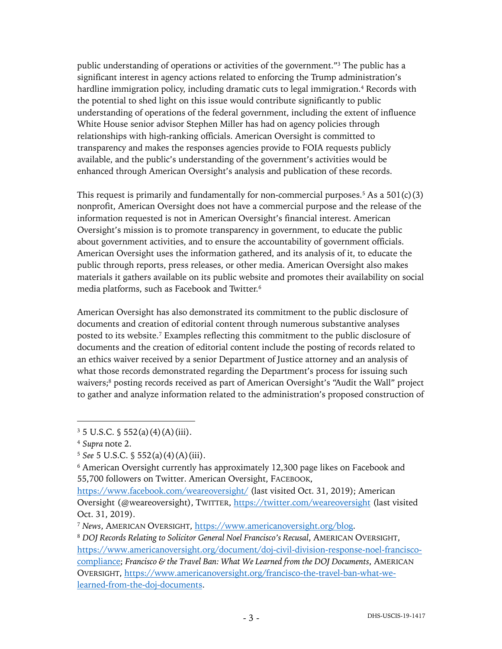public understanding of operations or activities of the government."3 The public has a significant interest in agency actions related to enforcing the Trump administration's hardline immigration policy, including dramatic cuts to legal immigration.<sup>4</sup> Records with the potential to shed light on this issue would contribute significantly to public understanding of operations of the federal government, including the extent of influence White House senior advisor Stephen Miller has had on agency policies through relationships with high-ranking officials. American Oversight is committed to transparency and makes the responses agencies provide to FOIA requests publicly available, and the public's understanding of the government's activities would be enhanced through American Oversight's analysis and publication of these records.

This request is primarily and fundamentally for non-commercial purposes.<sup>5</sup> As a  $501(c)(3)$ nonprofit, American Oversight does not have a commercial purpose and the release of the information requested is not in American Oversight's financial interest. American Oversight's mission is to promote transparency in government, to educate the public about government activities, and to ensure the accountability of government officials. American Oversight uses the information gathered, and its analysis of it, to educate the public through reports, press releases, or other media. American Oversight also makes materials it gathers available on its public website and promotes their availability on social media platforms, such as Facebook and Twitter.6

American Oversight has also demonstrated its commitment to the public disclosure of documents and creation of editorial content through numerous substantive analyses posted to its website. <sup>7</sup> Examples reflecting this commitment to the public disclosure of documents and the creation of editorial content include the posting of records related to an ethics waiver received by a senior Department of Justice attorney and an analysis of what those records demonstrated regarding the Department's process for issuing such waivers;<sup>8</sup> posting records received as part of American Oversight's "Audit the Wall" project to gather and analyze information related to the administration's proposed construction of

 $3\,5$  U.S.C.  $\frac{6}{3}$  552(a)(4)(A)(iii).

<sup>4</sup> *Supra* note 2.

<sup>5</sup> *See* 5 U.S.C. § 552(a)(4)(A)(iii).

<sup>6</sup> American Oversight currently has approximately 12,300 page likes on Facebook and 55,700 followers on Twitter. American Oversight, FACEBOOK,

https://www.facebook.com/weareoversight/ (last visited Oct. 31, 2019); American Oversight (@weareoversight), TWITTER, https://twitter.com/weareoversight (last visited Oct. 31, 2019).

<sup>7</sup> *News*, AMERICAN OVERSIGHT, https://www.americanoversight.org/blog.

<sup>8</sup> *DOJ Records Relating to Solicitor General Noel Francisco's Recusal*, AMERICAN OVERSIGHT, https://www.americanoversight.org/document/doj-civil-division-response-noel-franciscocompliance; *Francisco & the Travel Ban: What We Learned from the DOJ Documents*, AMERICAN OVERSIGHT, https://www.americanoversight.org/francisco-the-travel-ban-what-welearned-from-the-doj-documents.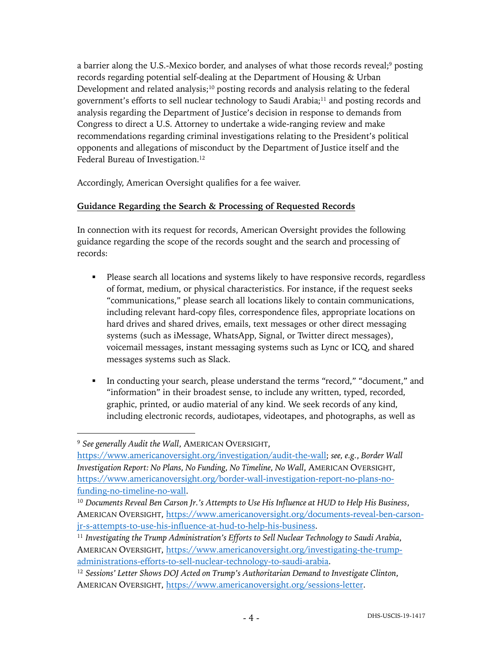a barrier along the U.S.-Mexico border, and analyses of what those records reveal;9 posting records regarding potential self-dealing at the Department of Housing & Urban Development and related analysis;<sup>10</sup> posting records and analysis relating to the federal government's efforts to sell nuclear technology to Saudi Arabia;11 and posting records and analysis regarding the Department of Justice's decision in response to demands from Congress to direct a U.S. Attorney to undertake a wide-ranging review and make recommendations regarding criminal investigations relating to the President's political opponents and allegations of misconduct by the Department of Justice itself and the Federal Bureau of Investigation.<sup>12</sup>

Accordingly, American Oversight qualifies for a fee waiver.

### **Guidance Regarding the Search & Processing of Requested Records**

In connection with its request for records, American Oversight provides the following guidance regarding the scope of the records sought and the search and processing of records:

- Please search all locations and systems likely to have responsive records, regardless of format, medium, or physical characteristics. For instance, if the request seeks "communications," please search all locations likely to contain communications, including relevant hard-copy files, correspondence files, appropriate locations on hard drives and shared drives, emails, text messages or other direct messaging systems (such as iMessage, WhatsApp, Signal, or Twitter direct messages), voicemail messages, instant messaging systems such as Lync or ICQ, and shared messages systems such as Slack.
- In conducting your search, please understand the terms "record," "document," and "information" in their broadest sense, to include any written, typed, recorded, graphic, printed, or audio material of any kind. We seek records of any kind, including electronic records, audiotapes, videotapes, and photographs, as well as

<sup>9</sup> *See generally Audit the Wall*, AMERICAN OVERSIGHT,

https://www.americanoversight.org/investigation/audit-the-wall; *see, e.g.*, *Border Wall Investigation Report: No Plans, No Funding, No Timeline, No Wall*, AMERICAN OVERSIGHT, https://www.americanoversight.org/border-wall-investigation-report-no-plans-nofunding-no-timeline-no-wall.

<sup>10</sup> *Documents Reveal Ben Carson Jr.'s Attempts to Use His Influence at HUD to Help His Business*, AMERICAN OVERSIGHT, https://www.americanoversight.org/documents-reveal-ben-carsonjr-s-attempts-to-use-his-influence-at-hud-to-help-his-business.

<sup>11</sup> *Investigating the Trump Administration's Efforts to Sell Nuclear Technology to Saudi Arabia*, AMERICAN OVERSIGHT, https://www.americanoversight.org/investigating-the-trumpadministrations-efforts-to-sell-nuclear-technology-to-saudi-arabia.

<sup>12</sup> *Sessions' Letter Shows DOJ Acted on Trump's Authoritarian Demand to Investigate Clinton*, AMERICAN OVERSIGHT, https://www.americanoversight.org/sessions-letter.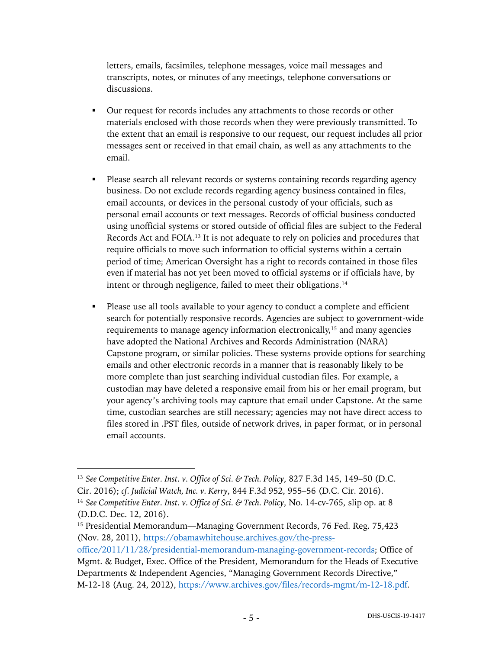letters, emails, facsimiles, telephone messages, voice mail messages and transcripts, notes, or minutes of any meetings, telephone conversations or discussions.

- Our request for records includes any attachments to those records or other materials enclosed with those records when they were previously transmitted. To the extent that an email is responsive to our request, our request includes all prior messages sent or received in that email chain, as well as any attachments to the email.
- Please search all relevant records or systems containing records regarding agency business. Do not exclude records regarding agency business contained in files, email accounts, or devices in the personal custody of your officials, such as personal email accounts or text messages. Records of official business conducted using unofficial systems or stored outside of official files are subject to the Federal Records Act and FOIA.13 It is not adequate to rely on policies and procedures that require officials to move such information to official systems within a certain period of time; American Oversight has a right to records contained in those files even if material has not yet been moved to official systems or if officials have, by intent or through negligence, failed to meet their obligations.<sup>14</sup>
- Please use all tools available to your agency to conduct a complete and efficient search for potentially responsive records. Agencies are subject to government-wide requirements to manage agency information electronically,<sup>15</sup> and many agencies have adopted the National Archives and Records Administration (NARA) Capstone program, or similar policies. These systems provide options for searching emails and other electronic records in a manner that is reasonably likely to be more complete than just searching individual custodian files. For example, a custodian may have deleted a responsive email from his or her email program, but your agency's archiving tools may capture that email under Capstone. At the same time, custodian searches are still necessary; agencies may not have direct access to files stored in .PST files, outside of network drives, in paper format, or in personal email accounts.

<sup>13</sup> *See Competitive Enter. Inst. v. Office of Sci. & Tech. Policy*, 827 F.3d 145, 149–50 (D.C. Cir. 2016); *cf. Judicial Watch, Inc. v. Kerry*, 844 F.3d 952, 955–56 (D.C. Cir. 2016). <sup>14</sup> *See Competitive Enter. Inst. v. Office of Sci. & Tech. Policy*, No. 14-cv-765, slip op. at 8 (D.D.C. Dec. 12, 2016).

<sup>15</sup> Presidential Memorandum—Managing Government Records, 76 Fed. Reg. 75,423 (Nov. 28, 2011), https://obamawhitehouse.archives.gov/the-press-

office/2011/11/28/presidential-memorandum-managing-government-records; Office of Mgmt. & Budget, Exec. Office of the President, Memorandum for the Heads of Executive Departments & Independent Agencies, "Managing Government Records Directive," M-12-18 (Aug. 24, 2012), https://www.archives.gov/files/records-mgmt/m-12-18.pdf.